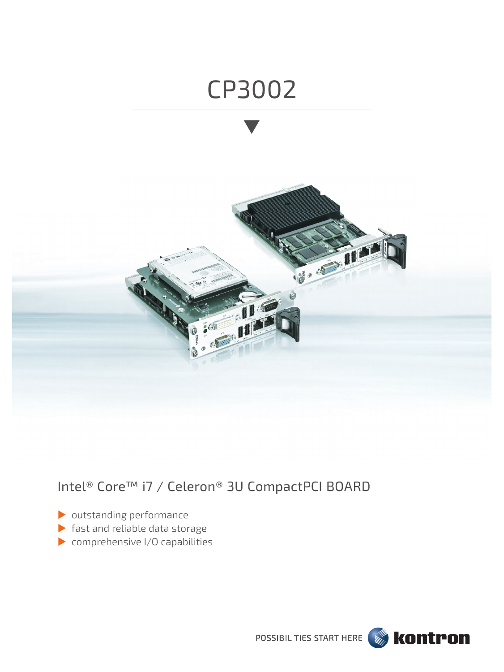

# Intel® Core™ i7 / Celeron® 3U CompactPCI BOARD

- outstanding performance
- fast and reliable data storage
- comprehensive I/O capabilities

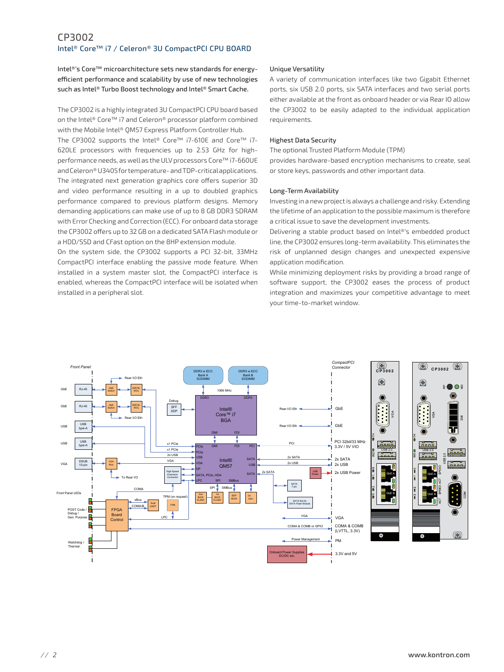# CP3002 Intel® Core™ i7 / Celeron® 3U CompactPCI CPU BOARD

Intel®'s Core™ microarchitecture sets new standards for energyefficient performance and scalability by use of new technologies such as Intel® Turbo Boost technology and Intel® Smart Cache.

The CP3002 is a highly integrated 3U CompactPCI CPU board based on the Intel® Core™ i7 and Celeron® processor platform combined with the Mobile Intel® QM57 Express Platform Controller Hub. The CP3002 supports the Intel® Core™ i7-610E and Core™ i7- 620LE processors with frequencies up to 2.53 GHz for highperformance needs, as well as the ULV processors Core™ i7-660UE and Celeron® U3405 for temperature- and TDP-critical applications. The integrated next generation graphics core offers superior 3D and video performance resulting in a up to doubled graphics performance compared to previous platform designs. Memory demanding applications can make use of up to 8 GB DDR3 SDRAM with Error Checking and Correction (ECC). For onboard data storage the CP3002 offers up to 32 GB on a dedicated SATA Flash module or a HDD/SSD and CFast option on the 8HP extension module.

On the system side, the CP3002 supports a PCI 32-bit, 33MHz CompactPCI interface enabling the passive mode feature. When installed in a system master slot, the CompactPCI interface is enabled, whereas the CompactPCI interface will be isolated when installed in a peripheral slot.

### Unique Versatility

A variety of communication interfaces like two Gigabit Ethernet ports, six USB 2.0 ports, six SATA interfaces and two serial ports either available at the front as onboard header or via Rear IO allow the CP3002 to be easily adapted to the individual application requirements.

### Highest Data Security

The optional Trusted Platform Module (TPM)

provides hardware-based encryption mechanisms to create, seal or store keys, passwords and other important data.

### Long-Term Availability

Investing in a new project is always a challenge and risky. Extending the lifetime of an application to the possible maximum is therefore a critical issue to save the development investments.

Delivering a stable product based on Intel®'s embedded product line, the CP3002 ensures long-term availability. This eliminates the risk of unplanned design changes and unexpected expensive application modification.

While minimizing deployment risks by providing a broad range of software support, the CP3002 eases the process of product integration and maximizes your competitive advantage to meet your time-to-market window.

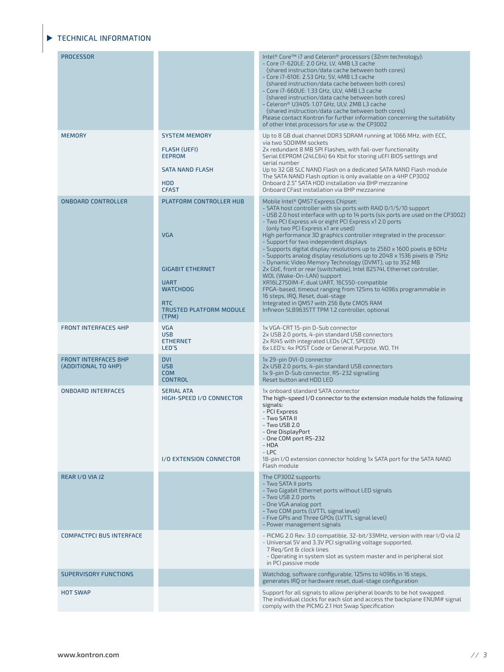# **TECHNICAL INFORMATION**

| <b>PROCESSOR</b>                                   |                                                                                                                                                             | Intel® Core™ i7 and Celeron® processors (32nm technology):<br>- Core i7-620LE: 2.0 GHz, LV, 4MB L3 cache<br>(shared instruction/data cache between both cores)<br>- Core i7-610E: 2.53 GHz, SV, 4MB L3 cache<br>(shared instruction/data cache between both cores)<br>- Core i7-660UE: 1.33 GHz, ULV, 4MB L3 cache<br>(shared instruction/data cache between both cores)<br>- Celeron® U3405: 1.07 GHz, ULV, 2MB L3 cache<br>(shared instruction/data cache between both cores)<br>Please contact Kontron for further information concerning the suitability<br>of other Intel processors for use w. the CP3002                                                                                                                                                                                                                                                                                                                                                                       |
|----------------------------------------------------|-------------------------------------------------------------------------------------------------------------------------------------------------------------|---------------------------------------------------------------------------------------------------------------------------------------------------------------------------------------------------------------------------------------------------------------------------------------------------------------------------------------------------------------------------------------------------------------------------------------------------------------------------------------------------------------------------------------------------------------------------------------------------------------------------------------------------------------------------------------------------------------------------------------------------------------------------------------------------------------------------------------------------------------------------------------------------------------------------------------------------------------------------------------|
| <b>MEMORY</b>                                      | <b>SYSTEM MEMORY</b><br><b>FLASH (UEFI)</b><br><b>EEPROM</b><br><b>SATA NAND FLASH</b><br><b>HDD</b><br><b>CFAST</b>                                        | Up to 8 GB dual channel DDR3 SDRAM running at 1066 MHz, with ECC,<br>via two SODIMM sockets<br>2x redundant 8 MB SPI Flashes, with fail-over functionality<br>Serial EEPROM (24LC64) 64 Kbit for storing uEFI BIOS settings and<br>serial number<br>Up to 32 GB SLC NAND Flash on a dedicated SATA NAND Flash module<br>The SATA NAND Flash option is only available on a 4HP CP3002<br>Onboard 2.5" SATA HDD installation via 8HP mezzanine<br>Onboard CFast installation via 8HP mezzanine                                                                                                                                                                                                                                                                                                                                                                                                                                                                                          |
| <b>ONBOARD CONTROLLER</b>                          | PLATFORM CONTROLLER HUB<br><b>VGA</b><br><b>GIGABIT ETHERNET</b><br><b>UART</b><br><b>WATCHDOG</b><br><b>RTC</b><br><b>TRUSTED PLATFORM MODULE</b><br>(TPM) | Mobile Intel® QM57 Express Chipset:<br>- SATA host controller with six ports with RAID 0/1/5/10 support<br>- USB 2.0 host interface with up to 14 ports (six ports are used on the CP3002)<br>- Two PCI Express x4 or eight PCI Express x1 2.0 ports<br>(only two PCI Express x1 are used)<br>High performance 3D graphics controller integrated in the processor:<br>- Support for two independent displays<br>- Supports digital display resolutions up to 2560 x 1600 pixels @ 60Hz<br>- Supports analog display resolutions up to 2048 x 1536 pixels @ 75Hz<br>- Dynamic Video Memory Technology (DVMT), up to 352 MB<br>2x GbE, front or rear (switchable), Intel 82574L Ethernet controller,<br>WOL (Wake-On-LAN) support<br>XR16L2750IM-F, dual UART, 16C550-compatible<br>FPGA-based, timeout ranging from 125ms to 4096s programmable in<br>16 steps, IRO, Reset, dual-stage<br>Integrated in QM57 with 256 Byte CMOS RAM<br>Infineon SLB9635TT TPM 1.2 controller, optional |
| <b>FRONT INTERFACES 4HP</b>                        | <b>VGA</b><br><b>USB</b><br><b>ETHERNET</b><br>LED'S                                                                                                        | 1x VGA-CRT 15-pin D-Sub connector<br>2x USB 2.0 ports, 4-pin standard USB connectors<br>2x RJ45 with integrated LEDs (ACT, SPEED)<br>6x LED's: 4x POST Code or General Purpose, WD, TH                                                                                                                                                                                                                                                                                                                                                                                                                                                                                                                                                                                                                                                                                                                                                                                                |
| <b>FRONT INTERFACES 8HP</b><br>(ADDITIONAL TO 4HP) | <b>DVI</b><br><b>USB</b><br><b>COM</b><br><b>CONTROL</b>                                                                                                    | 1x 29-pin DVI-D connector<br>2x USB 2.0 ports, 4-pin standard USB connectors<br>1x 9-pin D-Sub connector, RS-232 signalling<br>Reset button and HDD LED                                                                                                                                                                                                                                                                                                                                                                                                                                                                                                                                                                                                                                                                                                                                                                                                                               |
| <b>ONBOARD INTERFACES</b>                          | <b>SERIAL ATA</b><br>HIGH-SPEED I/O CONNECTOR<br>I/O EXTENSION CONNECTOR                                                                                    | 1x onboard standard SATA connector<br>The high-speed I/O connector to the extension module holds the following<br>signals:<br>- PCI Express<br>- Two SATA II<br>- Two USB 2.0<br>- One DisplayPort<br>- One COM port RS-232<br>- HDA<br>- LPC<br>18-pin I/O extension connector holding 1x SATA port for the SATA NAND<br>Flash module                                                                                                                                                                                                                                                                                                                                                                                                                                                                                                                                                                                                                                                |
| REAR I/O VIA J2                                    |                                                                                                                                                             | The CP3002 supports:<br>- Two SATA II ports<br>- Two Gigabit Ethernet ports without LED signals<br>- Two USB 2.0 ports<br>- One VGA analog port<br>- Two COM ports (LVTTL signal level)<br>- Five GPIs and Three GPOs (LVTTL signal level)<br>- Power management signals                                                                                                                                                                                                                                                                                                                                                                                                                                                                                                                                                                                                                                                                                                              |
| <b>COMPACTPCI BUS INTERFACE</b>                    |                                                                                                                                                             | - PICMG 2.0 Rev. 3.0 compatible, 32-bit/33MHz, version with rear I/O via J2<br>- Universal 5V and 3.3V PCI signalling voltage supported,<br>7 Reg/Gnt & clock lines<br>- Operating in system slot as system master and in peripheral slot<br>in PCI passive mode                                                                                                                                                                                                                                                                                                                                                                                                                                                                                                                                                                                                                                                                                                                      |
| <b>SUPERVISORY FUNCTIONS</b>                       |                                                                                                                                                             | Watchdog, software configurable, 125ms to 4096s in 16 steps,<br>generates IRQ or hardware reset, dual-stage configuration                                                                                                                                                                                                                                                                                                                                                                                                                                                                                                                                                                                                                                                                                                                                                                                                                                                             |
| <b>HOT SWAP</b>                                    |                                                                                                                                                             | Support for all signals to allow peripheral boards to be hot swapped.<br>The individual clocks for each slot and access the backplane ENUM# signal<br>comply with the PICMG 2.1 Hot Swap Specification                                                                                                                                                                                                                                                                                                                                                                                                                                                                                                                                                                                                                                                                                                                                                                                |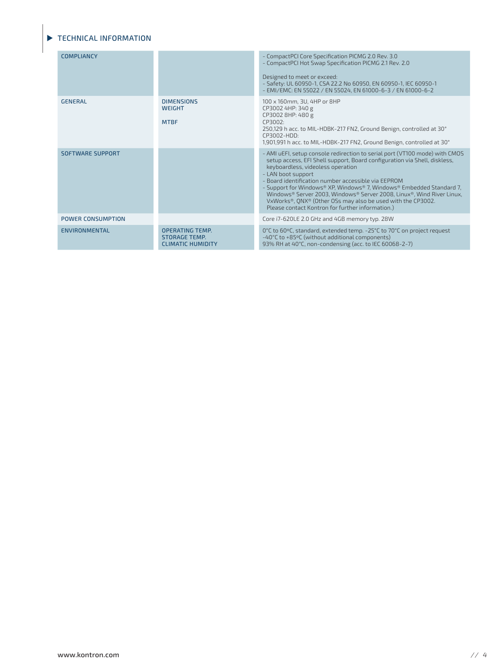# TECHNICAL INFORMATION

| <b>COMPLIANCY</b>        |                                                                            | - CompactPCI Core Specification PICMG 2.0 Rev. 3.0<br>- CompactPCI Hot Swap Specification PICMG 2.1 Rev. 2.0<br>Designed to meet or exceed:<br>- Safety: UL 60950-1, CSA 22.2 No 60950, EN 60950-1, IEC 60950-1<br>- EMI/EMC: EN 55022 / EN 55024, EN 61000-6-3 / EN 61000-6-2                                                                                                                                                                                                                                                                                          |
|--------------------------|----------------------------------------------------------------------------|-------------------------------------------------------------------------------------------------------------------------------------------------------------------------------------------------------------------------------------------------------------------------------------------------------------------------------------------------------------------------------------------------------------------------------------------------------------------------------------------------------------------------------------------------------------------------|
| <b>GENERAL</b>           | <b>DIMENSIONS</b><br><b>WEIGHT</b><br><b>MTBF</b>                          | 100 x 160mm, 3U, 4HP or 8HP<br>CP3002 4HP: 340 g<br>CP3002 8HP: 480 g<br>CP3002:<br>250,129 h acc. to MIL-HDBK-217 FN2, Ground Benign, controlled at 30°<br>CP3002-HDD:<br>1,901,991 h acc. to MIL-HDBK-217 FN2, Ground Benign, controlled at 30°                                                                                                                                                                                                                                                                                                                       |
| <b>SOFTWARE SUPPORT</b>  |                                                                            | - AMI uEFI, setup console redirection to serial port (VT100 mode) with CMOS<br>setup access, EFI Shell support, Board configuration via Shell, diskless,<br>keyboardless, videoless operation<br>- LAN boot support<br>- Board identification number accessible via EEPROM<br>- Support for Windows® XP, Windows® 7, Windows® Embedded Standard 7,<br>Windows® Server 2003, Windows® Server 2008, Linux®, Wind River Linux,<br>VxWorks <sup>®</sup> , QNX <sup>®</sup> (Other OSs may also be used with the CP3002.<br>Please contact Kontron for further information.) |
| <b>POWER CONSUMPTION</b> |                                                                            | Core i7-620LE 2.0 GHz and 4GB memory typ. 28W                                                                                                                                                                                                                                                                                                                                                                                                                                                                                                                           |
| <b>ENVIRONMENTAL</b>     | <b>OPERATING TEMP.</b><br><b>STORAGE TEMP.</b><br><b>CLIMATIC HUMIDITY</b> | 0°C to 60°C, standard, extended temp. -25°C to 70°C on project request<br>-40°C to +85°C (without additional components)<br>93% RH at 40°C, non-condensing (acc. to IEC 60068-2-7)                                                                                                                                                                                                                                                                                                                                                                                      |